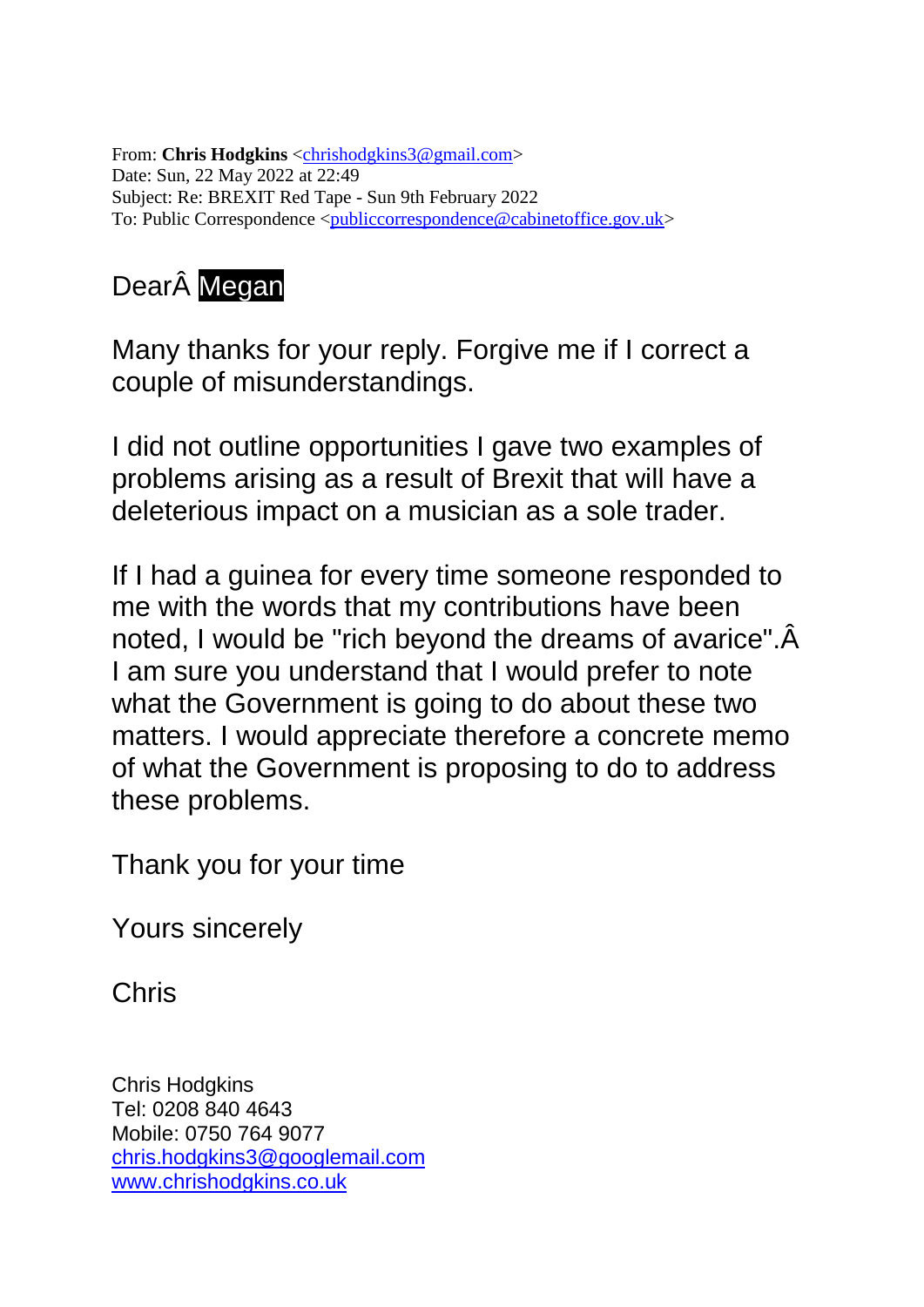From: **Chris Hodgkins** [<chrishodgkins3@gmail.com>](mailto:chrishodgkins3@gmail.com) Date: Sun, 22 May 2022 at 22:49 Subject: Re: BREXIT Red Tape - Sun 9th February 2022 To: Public Correspondence [<publiccorrespondence@cabinetoffice.gov.uk>](mailto:publiccorrespondence@cabinetoffice.gov.uk)

# DearÂ Megan

Many thanks for your reply. Forgive me if I correct a couple of misunderstandings.

I did not outline opportunities I gave two examples of problems arising as a result of Brexit that will have a deleterious impact on a musician as a sole trader.

If I had a guinea for every time someone responded to me with the words that my contributions have been noted, I would be "rich beyond the dreams of avarice".Â I am sure you understand that I would prefer to note what the Government is going to do about these two matters. I would appreciate therefore a concrete memo of what the Government is proposing to do to address these problems.

Thank you for your time

Yours sincerely

Chris

Chris Hodgkins Tel: 0208 840 4643 Mobile: 0750 764 9077 [chris.hodgkins3@googlemail.com](mailto:chris.hodgkins3@googlemail.com) [www.chrishodgkins.co.uk](http://www.chrishodgkins.co.uk/)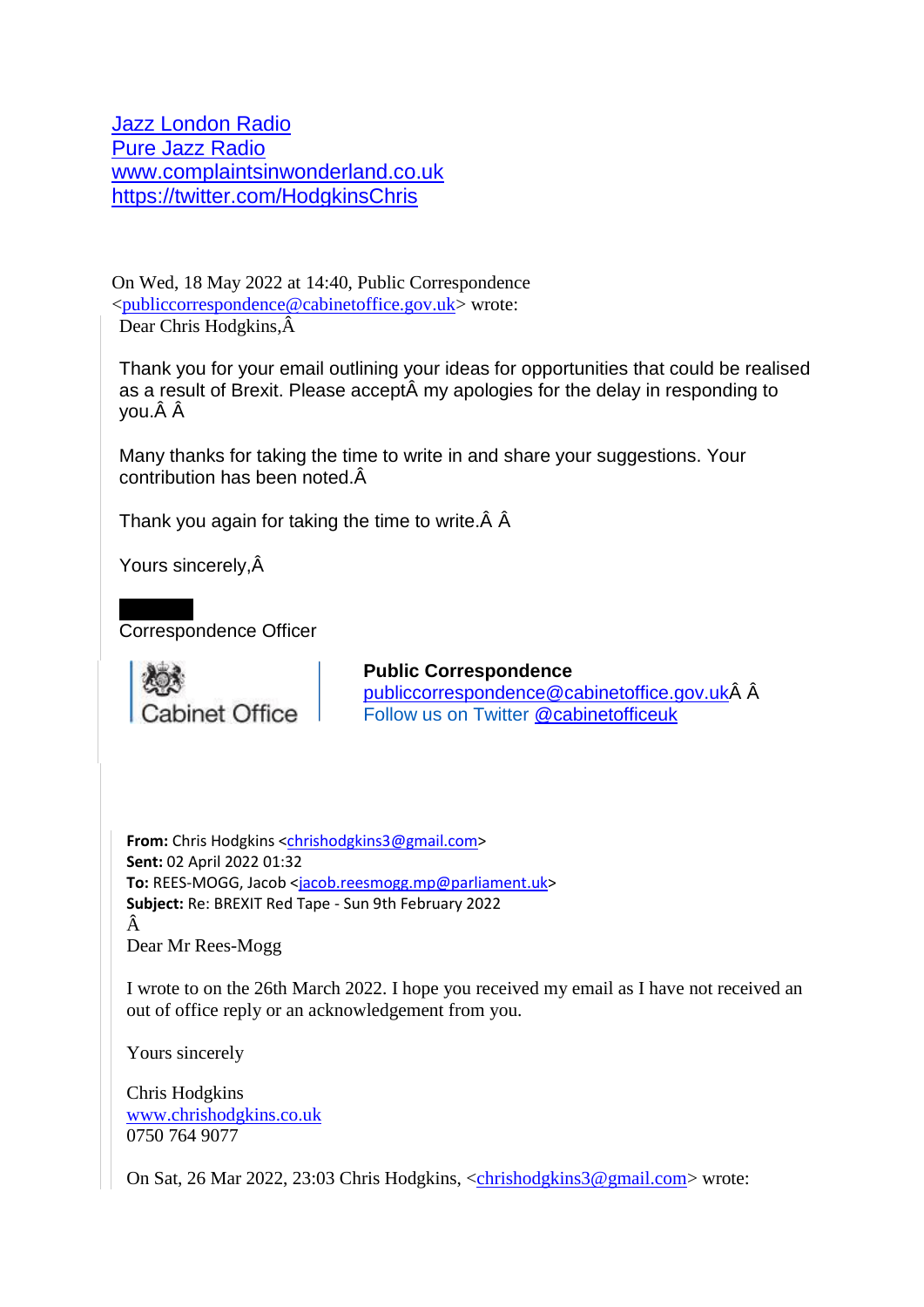[Jazz London Radio](https://www.jazzlondonradio.com/) [Pure Jazz Radio](https://jazzis2016.wordpress.com/) [www.complaintsinwonderland.co.uk](http://www.complaintsinwonderland.co.uk/) <https://twitter.com/HodgkinsChris>

On Wed, 18 May 2022 at 14:40, Public Correspondence [<publiccorrespondence@cabinetoffice.gov.uk>](mailto:publiccorrespondence@cabinetoffice.gov.uk) wrote: Dear Chris Hodgkins,Â

Thank you for your email outlining your ideas for opportunities that could be realised as a result of Brexit. Please acceptÂ my apologies for the delay in responding to you.Â Â

Many thanks for taking the time to write in and share your suggestions. Your contribution has been noted.Â

Thank you again for taking the time to write.Â Â

Yours sincerely,Â

Correspondence Officer



#### **Public Correspondence**

[publiccorrespondence@cabinetoffice.gov.ukÂ](mailto:publiccorrespondence@cabinetoffice.gov.uk) Â Follow us on Twitter [@cabinetofficeuk](https://twitter.com/cabinetofficeuk?lang=en)

**From:** Chris Hodgkins [<chrishodgkins3@gmail.com>](mailto:chrishodgkins3@gmail.com) **Sent:** 02 April 2022 01:32 **To:** REES-MOGG, Jacob [<jacob.reesmogg.mp@parliament.uk>](mailto:jacob.reesmogg.mp@parliament.uk) **Subject:** Re: BREXIT Red Tape - Sun 9th February 2022 Â Dear Mr Rees-Mogg

I wrote to on the 26th March 2022. I hope you received my email as I have not received an out of office reply or an acknowledgement from you.

Yours sincerely

Chris Hodgkins [www.chrishodgkins.co.uk](http://www.chrishodgkins.co.uk/) 0750 764 9077

On Sat, 26 Mar 2022, 23:03 Chris Hodgkins, [<chrishodgkins3@gmail.com>](mailto:chrishodgkins3@gmail.com) wrote: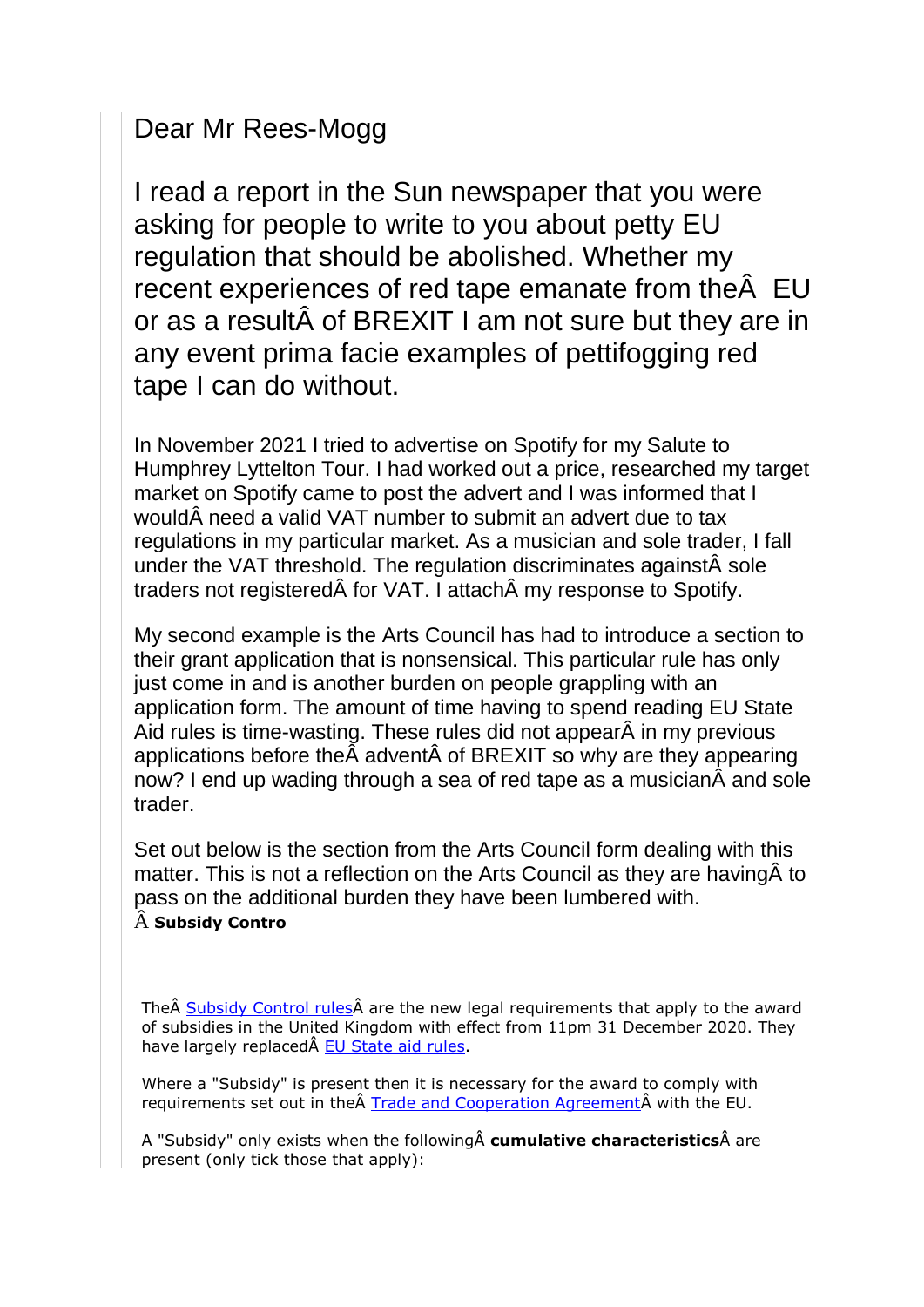### Dear Mr Rees-Mogg

I read a report in the Sun newspaper that you were asking for people to write to you about petty EU regulation that should be abolished. Whether my recent experiences of red tape emanate from theÂ EU or as a resultÂ of BREXIT I am not sure but they are in any event prima facie examples of pettifogging red tape I can do without.

In November 2021 I tried to advertise on Spotify for my Salute to Humphrey Lyttelton Tour. I had worked out a price, researched my target market on Spotify came to post the advert and I was informed that I wouldÂ need a valid VAT number to submit an advert due to tax regulations in my particular market. As a musician and sole trader, I fall under the VAT threshold. The regulation discriminates againstÂ sole traders not registeredÂ for VAT. I attachÂ my response to Spotify.

My second example is the Arts Council has had to introduce a section to their grant application that is nonsensical. This particular rule has only just come in and is another burden on people grappling with an application form. The amount of time having to spend reading EU State Aid rules is time-wasting. These rules did not appearÂ in my previous applications before theÂ adventÂ of BREXIT so why are they appearing now? I end up wading through a sea of red tape as a musicianÂ and sole trader.

Set out below is the section from the Arts Council form dealing with this matter. This is not a reflection on the Arts Council as they are havingÂ to pass on the additional burden they have been lumbered with. Â **Subsidy Contro**

The Subsidy Control rules are the new legal requirements that apply to the award of subsidies in the United Kingdom with effect from 11pm 31 December 2020. They have largely replaced [EU State aid rules.](https://ec.europa.eu/competition-policy/state-aid_en)

Where a "Subsidy" is present then it is necessary for the award to comply with requirements set out in the Trade and Cooperation Agreement with the EU.

A "Subsidy" only exists when the followingÂ **cumulative characteristics**Â are present (only tick those that apply):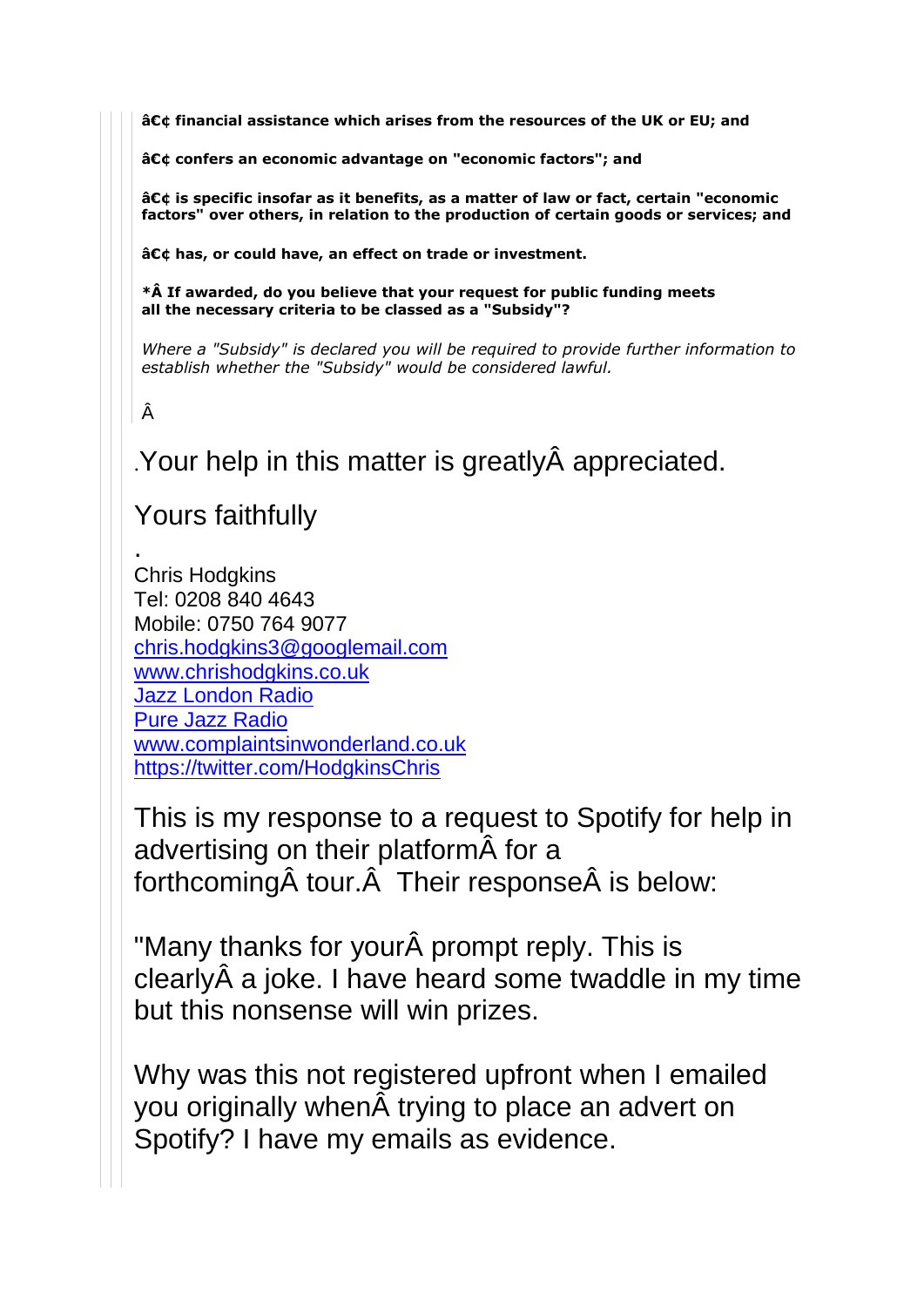**• financial assistance which arises from the resources of the UK or EU; and**

**• confers an economic advantage on "economic factors"; and**

**• is specific insofar as it benefits, as a matter of law or fact, certain "economic factors" over others, in relation to the production of certain goods or services; and**

**• has, or could have, an effect on trade or investment.**

**\*Â If awarded, do you believe that your request for public funding meets all the necessary criteria to be classed as a "Subsidy"?**

*Where a "Subsidy" is declared you will be required to provide further information to establish whether the "Subsidy" would be considered lawful.*

#### Â

.

.Your help in this matter is greatlyÂ appreciated.

## Yours faithfully

Chris Hodgkins Tel: 0208 840 4643 Mobile: 0750 764 9077 [chris.hodgkins3@googlemail.com](mailto:chris.hodgkins3@googlemail.com) [www.chrishodgkins.co.uk](http://www.chrishodgkins.co.uk/) [Jazz London Radio](https://www.jazzlondonradio.com/) [Pure Jazz Radio](https://jazzis2016.wordpress.com/) [www.complaintsinwonderland.co.uk](http://www.complaintsinwonderland.co.uk/) <https://twitter.com/HodgkinsChris>

This is my response to a request to Spotify for help in advertising on their platformÂ for a forthcomingÂ tour.Â Their responseÂ is below:

"Many thanks for yourÂ prompt reply. This is clearlyÂ a joke. I have heard some twaddle in my time but this nonsense will win prizes.

Why was this not registered upfront when I emailed you originally whenÂ trying to place an advert on Spotify? I have my emails as evidence.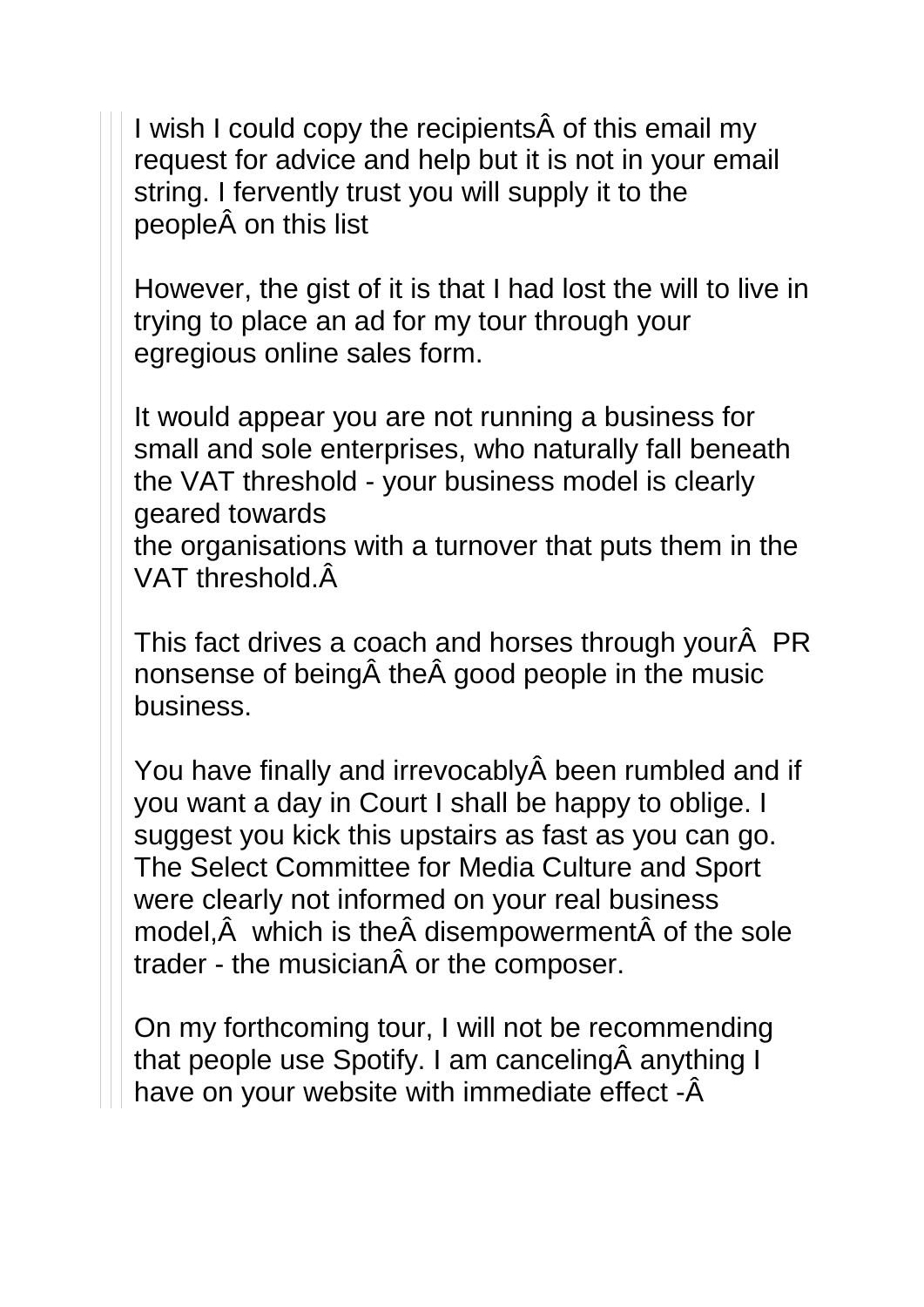I wish I could copy the recipientsÂ of this email my request for advice and help but it is not in your email string. I fervently trust you will supply it to the peopleÂ on this list

However, the gist of it is that I had lost the will to live in trying to place an ad for my tour through your egregious online sales form.

It would appear you are not running a business for small and sole enterprises, who naturally fall beneath the VAT threshold - your business model is clearly geared towards the organisations with a turnover that puts them in the VAT threshold.Â

This fact drives a coach and horses through yourÂ PR nonsense of beingÂ theÂ good people in the music business.

You have finally and irrevocablyÂ been rumbled and if you want a day in Court I shall be happy to oblige. I suggest you kick this upstairs as fast as you can go. The Select Committee for Media Culture and Sport were clearly not informed on your real business model,Â which is theÂ disempowermentÂ of the sole trader - the musicianÂ or the composer.

On my forthcoming tour, I will not be recommending that people use Spotify. I am cancelingÂ anything I have on your website with immediate effect -Â